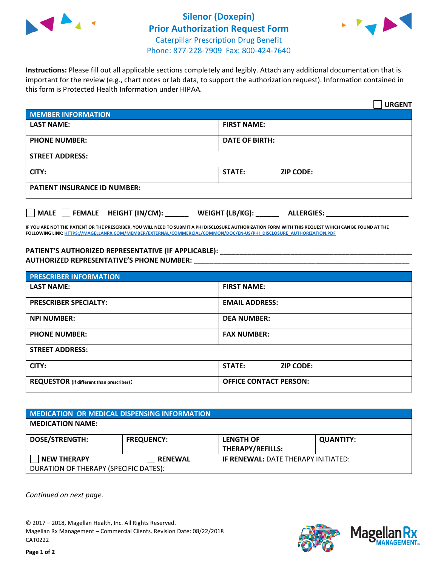

## **Silenor (Doxepin) Prior Authorization Request Form** Caterpillar Prescription Drug Benefit



Phone: 877-228-7909 Fax: 800-424-7640

**Instructions:** Please fill out all applicable sections completely and legibly. Attach any additional documentation that is important for the review (e.g., chart notes or lab data, to support the authorization request). Information contained in this form is Protected Health Information under HIPAA.

|                                                              | <b>URGENT</b>                        |  |  |  |
|--------------------------------------------------------------|--------------------------------------|--|--|--|
| <b>MEMBER INFORMATION</b>                                    |                                      |  |  |  |
| <b>LAST NAME:</b>                                            | <b>FIRST NAME:</b>                   |  |  |  |
| <b>PHONE NUMBER:</b>                                         | <b>DATE OF BIRTH:</b>                |  |  |  |
| <b>STREET ADDRESS:</b>                                       |                                      |  |  |  |
| CITY:                                                        | <b>ZIP CODE:</b><br>STATE:           |  |  |  |
| <b>PATIENT INSURANCE ID NUMBER:</b>                          |                                      |  |  |  |
| FEMALE HEIGHT (IN/CM):<br>$\blacksquare$ MALE $\blacksquare$ | WEIGHT (LB/KG):<br><b>ALLERGIES:</b> |  |  |  |

**IF YOU ARE NOT THE PATIENT OR THE PRESCRIBER, YOU WILL NEED TO SUBMIT A PHI DISCLOSURE AUTHORIZATION FORM WITH THIS REQUEST WHICH CAN BE FOUND AT THE FOLLOWING LINK[: HTTPS://MAGELLANRX.COM/MEMBER/EXTERNAL/COMMERCIAL/COMMON/DOC/EN-US/PHI\\_DISCLOSURE\\_AUTHORIZATION.PDF](https://magellanrx.com/member/external/commercial/common/doc/en-us/PHI_Disclosure_Authorization.pdf)**

**PATIENT'S AUTHORIZED REPRESENTATIVE (IF APPLICABLE): \_\_\_\_\_\_\_\_\_\_\_\_\_\_\_\_\_\_\_\_\_\_\_\_\_\_\_\_\_\_\_\_\_\_\_\_\_\_\_\_\_\_\_\_\_\_\_\_\_ AUTHORIZED REPRESENTATIVE'S PHONE NUMBER:** \_\_\_\_\_\_\_\_\_\_\_\_\_\_\_\_\_\_\_\_\_\_\_\_\_\_\_\_\_\_\_\_\_\_\_\_\_\_\_\_\_\_\_\_\_\_\_\_\_\_\_\_\_\_\_

| <b>PRESCRIBER INFORMATION</b>             |                               |  |  |  |
|-------------------------------------------|-------------------------------|--|--|--|
| <b>LAST NAME:</b>                         | <b>FIRST NAME:</b>            |  |  |  |
| <b>PRESCRIBER SPECIALTY:</b>              | <b>EMAIL ADDRESS:</b>         |  |  |  |
| <b>NPI NUMBER:</b>                        | <b>DEA NUMBER:</b>            |  |  |  |
| <b>PHONE NUMBER:</b>                      | <b>FAX NUMBER:</b>            |  |  |  |
| <b>STREET ADDRESS:</b>                    |                               |  |  |  |
| CITY:                                     | STATE:<br><b>ZIP CODE:</b>    |  |  |  |
| REQUESTOR (if different than prescriber): | <b>OFFICE CONTACT PERSON:</b> |  |  |  |

| <b>MEDICATION OR MEDICAL DISPENSING INFORMATION</b> |                   |                                            |                  |  |  |
|-----------------------------------------------------|-------------------|--------------------------------------------|------------------|--|--|
| <b>MEDICATION NAME:</b>                             |                   |                                            |                  |  |  |
| <b>DOSE/STRENGTH:</b>                               | <b>FREQUENCY:</b> | <b>LENGTH OF</b>                           | <b>QUANTITY:</b> |  |  |
|                                                     |                   | <b>THERAPY/REFILLS:</b>                    |                  |  |  |
| <b>NEW THERAPY</b>                                  | <b>RENEWAL</b>    | <b>IF RENEWAL: DATE THERAPY INITIATED:</b> |                  |  |  |
| DURATION OF THERAPY (SPECIFIC DATES):               |                   |                                            |                  |  |  |

*Continued on next page.*

© 2017 – 2018, Magellan Health, Inc. All Rights Reserved. Magellan Rx Management – Commercial Clients. Revision Date: 08/22/2018 CAT0222